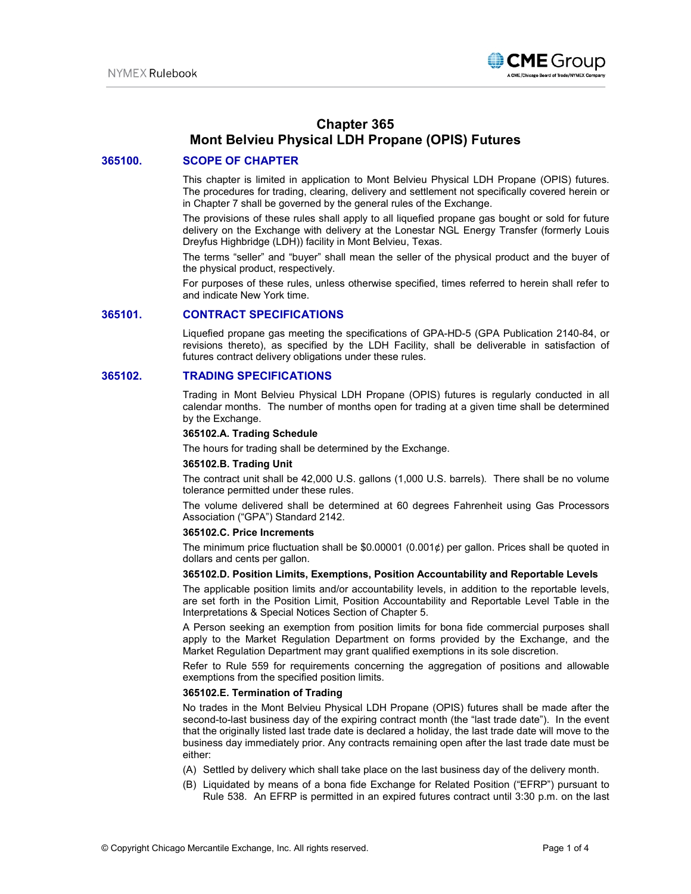

# **Chapter 365 Mont Belvieu Physical LDH Propane (OPIS) Futures**

### **365100. SCOPE OF CHAPTER**

This chapter is limited in application to Mont Belvieu Physical LDH Propane (OPIS) futures. The procedures for trading, clearing, delivery and settlement not specifically covered herein or in Chapter 7 shall be governed by the general rules of the Exchange.

The provisions of these rules shall apply to all liquefied propane gas bought or sold for future delivery on the Exchange with delivery at the Lonestar NGL Energy Transfer (formerly Louis Dreyfus Highbridge (LDH)) facility in Mont Belvieu, Texas.

The terms "seller" and "buyer" shall mean the seller of the physical product and the buyer of the physical product, respectively.

For purposes of these rules, unless otherwise specified, times referred to herein shall refer to and indicate New York time.

### **365101. CONTRACT SPECIFICATIONS**

Liquefied propane gas meeting the specifications of GPA-HD-5 (GPA Publication 2140-84, or revisions thereto), as specified by the LDH Facility, shall be deliverable in satisfaction of futures contract delivery obligations under these rules.

#### **365102. TRADING SPECIFICATIONS**

Trading in Mont Belvieu Physical LDH Propane (OPIS) futures is regularly conducted in all calendar months. The number of months open for trading at a given time shall be determined by the Exchange.

### **365102.A. Trading Schedule**

The hours for trading shall be determined by the Exchange.

### **365102.B. Trading Unit**

The contract unit shall be 42,000 U.S. gallons (1,000 U.S. barrels). There shall be no volume tolerance permitted under these rules.

The volume delivered shall be determined at 60 degrees Fahrenheit using Gas Processors Association ("GPA") Standard 2142.

#### **365102.C. Price Increments**

The minimum price fluctuation shall be  $$0.00001$  (0.001¢) per gallon. Prices shall be quoted in dollars and cents per gallon.

#### **365102.D. Position Limits, Exemptions, Position Accountability and Reportable Levels**

The applicable position limits and/or accountability levels, in addition to the reportable levels, are set forth in the Position Limit, Position Accountability and Reportable Level Table in the Interpretations & Special Notices Section of Chapter 5.

A Person seeking an exemption from position limits for bona fide commercial purposes shall apply to the Market Regulation Department on forms provided by the Exchange, and the Market Regulation Department may grant qualified exemptions in its sole discretion.

Refer to Rule 559 for requirements concerning the aggregation of positions and allowable exemptions from the specified position limits.

#### **365102.E. Termination of Trading**

No trades in the Mont Belvieu Physical LDH Propane (OPIS) futures shall be made after the second-to-last business day of the expiring contract month (the "last trade date"). In the event that the originally listed last trade date is declared a holiday, the last trade date will move to the business day immediately prior. Any contracts remaining open after the last trade date must be either:

- (A) Settled by delivery which shall take place on the last business day of the delivery month.
- (B) Liquidated by means of a bona fide Exchange for Related Position ("EFRP") pursuant to Rule 538. An EFRP is permitted in an expired futures contract until 3:30 p.m. on the last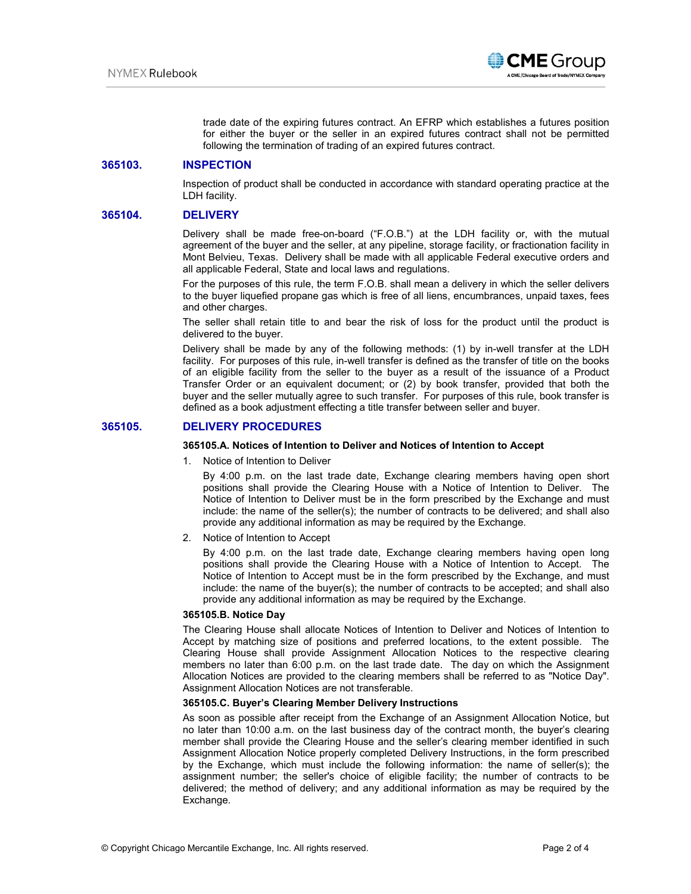

trade date of the expiring futures contract. An EFRP which establishes a futures position for either the buyer or the seller in an expired futures contract shall not be permitted following the termination of trading of an expired futures contract.

### **365103. INSPECTION**

Inspection of product shall be conducted in accordance with standard operating practice at the LDH facility.

### **365104. DELIVERY**

Delivery shall be made free-on-board ("F.O.B.") at the LDH facility or, with the mutual agreement of the buyer and the seller, at any pipeline, storage facility, or fractionation facility in Mont Belvieu, Texas. Delivery shall be made with all applicable Federal executive orders and all applicable Federal, State and local laws and regulations.

For the purposes of this rule, the term F.O.B. shall mean a delivery in which the seller delivers to the buyer liquefied propane gas which is free of all liens, encumbrances, unpaid taxes, fees and other charges.

The seller shall retain title to and bear the risk of loss for the product until the product is delivered to the buyer.

Delivery shall be made by any of the following methods: (1) by in-well transfer at the LDH facility. For purposes of this rule, in-well transfer is defined as the transfer of title on the books of an eligible facility from the seller to the buyer as a result of the issuance of a Product Transfer Order or an equivalent document; or (2) by book transfer, provided that both the buyer and the seller mutually agree to such transfer. For purposes of this rule, book transfer is defined as a book adjustment effecting a title transfer between seller and buyer.

### **365105. DELIVERY PROCEDURES**

### **365105.A. Notices of Intention to Deliver and Notices of Intention to Accept**

1. Notice of Intention to Deliver

By 4:00 p.m. on the last trade date, Exchange clearing members having open short positions shall provide the Clearing House with a Notice of Intention to Deliver. The Notice of Intention to Deliver must be in the form prescribed by the Exchange and must include: the name of the seller(s); the number of contracts to be delivered; and shall also provide any additional information as may be required by the Exchange.

2. Notice of Intention to Accept

By 4:00 p.m. on the last trade date, Exchange clearing members having open long positions shall provide the Clearing House with a Notice of Intention to Accept. The Notice of Intention to Accept must be in the form prescribed by the Exchange, and must include: the name of the buyer(s); the number of contracts to be accepted; and shall also provide any additional information as may be required by the Exchange.

#### **365105.B. Notice Day**

The Clearing House shall allocate Notices of Intention to Deliver and Notices of Intention to Accept by matching size of positions and preferred locations, to the extent possible. The Clearing House shall provide Assignment Allocation Notices to the respective clearing members no later than 6:00 p.m. on the last trade date. The day on which the Assignment Allocation Notices are provided to the clearing members shall be referred to as "Notice Day". Assignment Allocation Notices are not transferable.

#### **365105.C. Buyer's Clearing Member Delivery Instructions**

As soon as possible after receipt from the Exchange of an Assignment Allocation Notice, but no later than 10:00 a.m. on the last business day of the contract month, the buyer's clearing member shall provide the Clearing House and the seller's clearing member identified in such Assignment Allocation Notice properly completed Delivery Instructions, in the form prescribed by the Exchange, which must include the following information: the name of seller(s); the assignment number; the seller's choice of eligible facility; the number of contracts to be delivered; the method of delivery; and any additional information as may be required by the Exchange.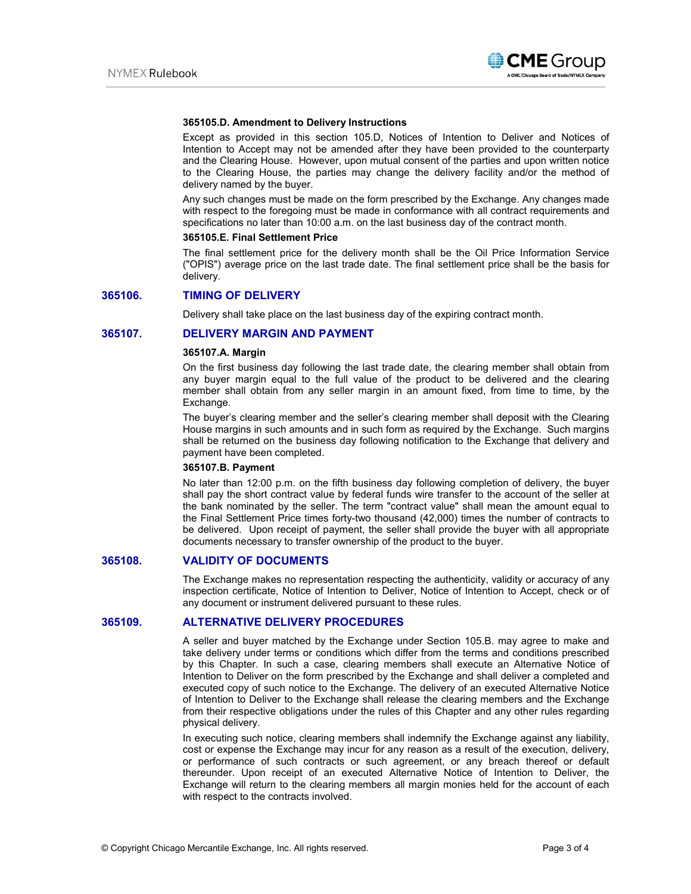

#### **365105.D. Amendment to Delivery Instructions**

Except as provided in this section 105.D, Notices of Intention to Deliver and Notices of Intention to Accept may not be amended after they have been provided to the counterparty and the Clearing House. However, upon mutual consent of the parties and upon written notice to the Clearing House, the parties may change the delivery facility and/or the method of delivery named by the buyer.

Any such changes must be made on the form prescribed by the Exchange. Any changes made with respect to the foregoing must be made in conformance with all contract requirements and specifications no later than 10:00 a.m. on the last business day of the contract month.

#### **365105.E. Final Settlement Price**

The final settlement price for the delivery month shall be the Oil Price Information Service ("OPIS") average price on the last trade date. The final settlement price shall be the basis for delivery.

#### **365106. TIMING OF DELIVERY**

Delivery shall take place on the last business day of the expiring contract month.

### **365107. DELIVERY MARGIN AND PAYMENT**

#### **365107.A. Margin**

On the first business day following the last trade date, the clearing member shall obtain from any buyer margin equal to the full value of the product to be delivered and the clearing member shall obtain from any seller margin in an amount fixed, from time to time, by the Exchange.

The buyer's clearing member and the seller's clearing member shall deposit with the Clearing House margins in such amounts and in such form as required by the Exchange. Such margins shall be returned on the business day following notification to the Exchange that delivery and payment have been completed.

#### **365107.B. Payment**

No later than 12:00 p.m. on the fifth business day following completion of delivery, the buyer shall pay the short contract value by federal funds wire transfer to the account of the seller at the bank nominated by the seller. The term "contract value" shall mean the amount equal to the Final Settlement Price times forty-two thousand (42,000) times the number of contracts to be delivered. Upon receipt of payment, the seller shall provide the buyer with all appropriate documents necessary to transfer ownership of the product to the buyer.

#### **365108. VALIDITY OF DOCUMENTS**

The Exchange makes no representation respecting the authenticity, validity or accuracy of any inspection certificate, Notice of Intention to Deliver, Notice of Intention to Accept, check or of any document or instrument delivered pursuant to these rules.

### **365109. ALTERNATIVE DELIVERY PROCEDURES**

A seller and buyer matched by the Exchange under Section 105.B. may agree to make and take delivery under terms or conditions which differ from the terms and conditions prescribed by this Chapter. In such a case, clearing members shall execute an Alternative Notice of Intention to Deliver on the form prescribed by the Exchange and shall deliver a completed and executed copy of such notice to the Exchange. The delivery of an executed Alternative Notice of Intention to Deliver to the Exchange shall release the clearing members and the Exchange from their respective obligations under the rules of this Chapter and any other rules regarding physical delivery.

In executing such notice, clearing members shall indemnify the Exchange against any liability, cost or expense the Exchange may incur for any reason as a result of the execution, delivery, or performance of such contracts or such agreement, or any breach thereof or default thereunder. Upon receipt of an executed Alternative Notice of Intention to Deliver, the Exchange will return to the clearing members all margin monies held for the account of each with respect to the contracts involved.